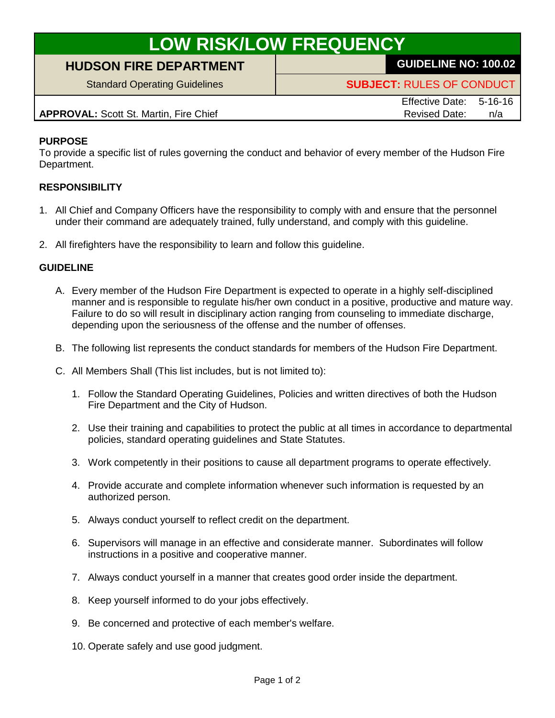# **LOW RISK/LOW FREQUENCY**

## **HUDSON FIRE DEPARTMENT GUIDELINE NO: 100.02**

Standard Operating Guidelines **SUBJECT:** RULES OF CONDUCT

**APPROVAL:** Scott St. Martin, Fire Chief Revised Date: n/a

Effective Date: 5-16-16

#### **PURPOSE**

To provide a specific list of rules governing the conduct and behavior of every member of the Hudson Fire Department.

### **RESPONSIBILITY**

- 1. All Chief and Company Officers have the responsibility to comply with and ensure that the personnel under their command are adequately trained, fully understand, and comply with this guideline.
- 2. All firefighters have the responsibility to learn and follow this guideline.

#### **GUIDELINE**

- A. Every member of the Hudson Fire Department is expected to operate in a highly self-disciplined manner and is responsible to regulate his/her own conduct in a positive, productive and mature way. Failure to do so will result in disciplinary action ranging from counseling to immediate discharge, depending upon the seriousness of the offense and the number of offenses.
- B. The following list represents the conduct standards for members of the Hudson Fire Department.
- C. All Members Shall (This list includes, but is not limited to):
	- 1. Follow the Standard Operating Guidelines, Policies and written directives of both the Hudson Fire Department and the City of Hudson.
	- 2. Use their training and capabilities to protect the public at all times in accordance to departmental policies, standard operating guidelines and State Statutes.
	- 3. Work competently in their positions to cause all department programs to operate effectively.
	- 4. Provide accurate and complete information whenever such information is requested by an authorized person.
	- 5. Always conduct yourself to reflect credit on the department.
	- 6. Supervisors will manage in an effective and considerate manner. Subordinates will follow instructions in a positive and cooperative manner.
	- 7. Always conduct yourself in a manner that creates good order inside the department.
	- 8. Keep yourself informed to do your jobs effectively.
	- 9. Be concerned and protective of each member's welfare.
	- 10. Operate safely and use good judgment.